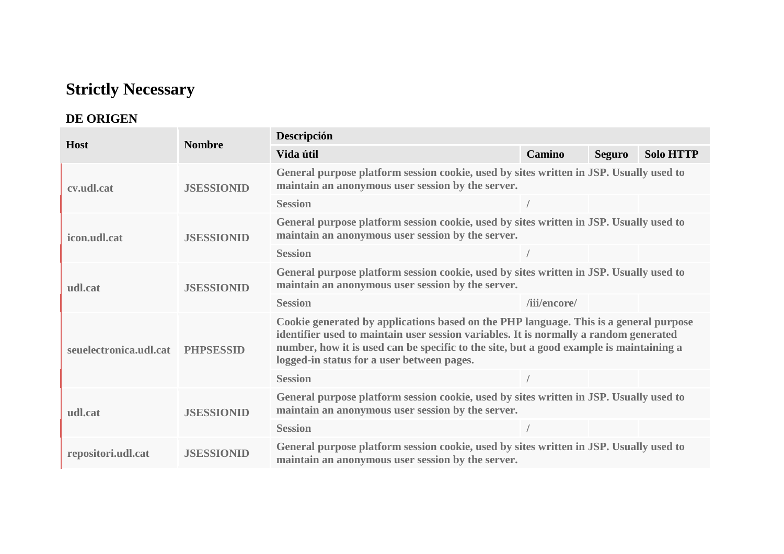## **Strictly Necessary**

# **DE ORIGEN**

|                        | <b>Nombre</b>     | Descripción                                                                                                                                                                                                                                                                                                             |               |               |                  |  |  |  |
|------------------------|-------------------|-------------------------------------------------------------------------------------------------------------------------------------------------------------------------------------------------------------------------------------------------------------------------------------------------------------------------|---------------|---------------|------------------|--|--|--|
| <b>Host</b>            |                   | Vida útil                                                                                                                                                                                                                                                                                                               | <b>Camino</b> | <b>Seguro</b> | <b>Solo HTTP</b> |  |  |  |
| cv.udl.cat             | <b>JSESSIONID</b> | General purpose platform session cookie, used by sites written in JSP. Usually used to<br>maintain an anonymous user session by the server.                                                                                                                                                                             |               |               |                  |  |  |  |
|                        |                   | <b>Session</b>                                                                                                                                                                                                                                                                                                          |               |               |                  |  |  |  |
| icon.udl.cat           | <b>JSESSIONID</b> | General purpose platform session cookie, used by sites written in JSP. Usually used to<br>maintain an anonymous user session by the server.                                                                                                                                                                             |               |               |                  |  |  |  |
|                        |                   | <b>Session</b>                                                                                                                                                                                                                                                                                                          |               |               |                  |  |  |  |
| udl.cat                | <b>JSESSIONID</b> | General purpose platform session cookie, used by sites written in JSP. Usually used to<br>maintain an anonymous user session by the server.                                                                                                                                                                             |               |               |                  |  |  |  |
|                        |                   | <b>Session</b>                                                                                                                                                                                                                                                                                                          | /iii/encore/  |               |                  |  |  |  |
| seuelectronica.udl.cat | <b>PHPSESSID</b>  | Cookie generated by applications based on the PHP language. This is a general purpose<br>identifier used to maintain user session variables. It is normally a random generated<br>number, how it is used can be specific to the site, but a good example is maintaining a<br>logged-in status for a user between pages. |               |               |                  |  |  |  |
|                        |                   | <b>Session</b>                                                                                                                                                                                                                                                                                                          |               |               |                  |  |  |  |
| udl.cat                | <b>JSESSIONID</b> | General purpose platform session cookie, used by sites written in JSP. Usually used to<br>maintain an anonymous user session by the server.                                                                                                                                                                             |               |               |                  |  |  |  |
|                        |                   | <b>Session</b>                                                                                                                                                                                                                                                                                                          |               |               |                  |  |  |  |
| repositori.udl.cat     | <b>JSESSIONID</b> | General purpose platform session cookie, used by sites written in JSP. Usually used to<br>maintain an anonymous user session by the server.                                                                                                                                                                             |               |               |                  |  |  |  |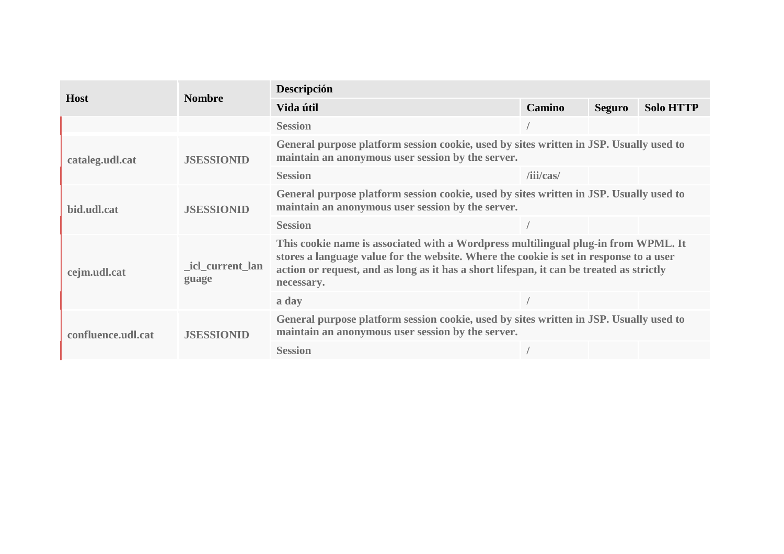|                    | <b>Nombre</b>                                                                                                                                                    | Descripción                                                                                                                                                                                                                                                                            |               |               |                  |  |
|--------------------|------------------------------------------------------------------------------------------------------------------------------------------------------------------|----------------------------------------------------------------------------------------------------------------------------------------------------------------------------------------------------------------------------------------------------------------------------------------|---------------|---------------|------------------|--|
| <b>Host</b>        |                                                                                                                                                                  | Vida útil                                                                                                                                                                                                                                                                              | <b>Camino</b> | <b>Seguro</b> | <b>Solo HTTP</b> |  |
|                    |                                                                                                                                                                  | <b>Session</b>                                                                                                                                                                                                                                                                         |               |               |                  |  |
| cataleg.udl.cat    | <b>JSESSIONID</b>                                                                                                                                                | General purpose platform session cookie, used by sites written in JSP. Usually used to<br>maintain an anonymous user session by the server.                                                                                                                                            |               |               |                  |  |
|                    |                                                                                                                                                                  | <b>Session</b>                                                                                                                                                                                                                                                                         | /iii/cas/     |               |                  |  |
| bid.udl.cat        | General purpose platform session cookie, used by sites written in JSP. Usually used to<br>maintain an anonymous user session by the server.<br><b>JSESSIONID</b> |                                                                                                                                                                                                                                                                                        |               |               |                  |  |
|                    |                                                                                                                                                                  | <b>Session</b>                                                                                                                                                                                                                                                                         |               |               |                  |  |
| cejm.udl.cat       | icl_current_lan<br>guage                                                                                                                                         | This cookie name is associated with a Wordpress multilingual plug-in from WPML. It<br>stores a language value for the website. Where the cookie is set in response to a user<br>action or request, and as long as it has a short lifespan, it can be treated as strictly<br>necessary. |               |               |                  |  |
|                    |                                                                                                                                                                  | a day                                                                                                                                                                                                                                                                                  |               |               |                  |  |
| confluence.udl.cat | <b>JSESSIONID</b>                                                                                                                                                | General purpose platform session cookie, used by sites written in JSP. Usually used to<br>maintain an anonymous user session by the server.                                                                                                                                            |               |               |                  |  |
|                    |                                                                                                                                                                  | <b>Session</b>                                                                                                                                                                                                                                                                         |               |               |                  |  |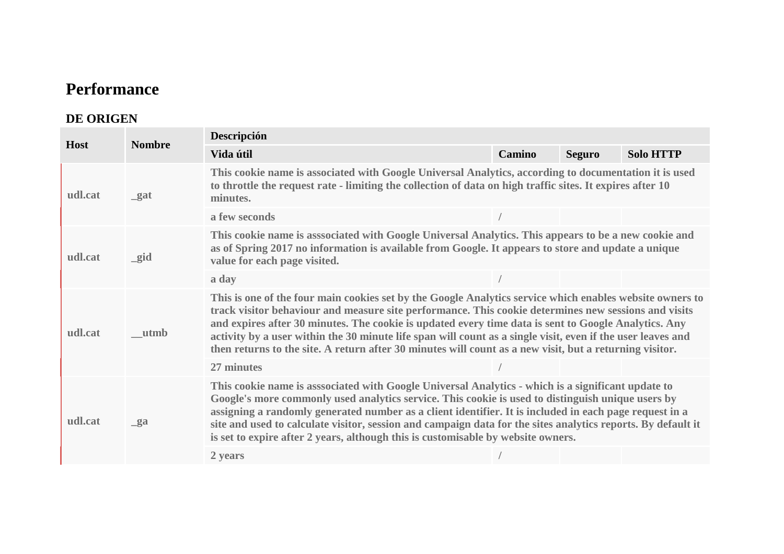## **Performance**

#### **DE ORIGEN**

| <b>Host</b> | <b>Nombre</b> | Descripción                                                                                                                                                                                                                                                                                                                                                                                                                                                                                                                                        |               |               |                  |  |  |
|-------------|---------------|----------------------------------------------------------------------------------------------------------------------------------------------------------------------------------------------------------------------------------------------------------------------------------------------------------------------------------------------------------------------------------------------------------------------------------------------------------------------------------------------------------------------------------------------------|---------------|---------------|------------------|--|--|
|             |               | Vida útil                                                                                                                                                                                                                                                                                                                                                                                                                                                                                                                                          | <b>Camino</b> | <b>Seguro</b> | <b>Solo HTTP</b> |  |  |
| udl.cat     | $\mathbf{a}$  | This cookie name is associated with Google Universal Analytics, according to documentation it is used<br>to throttle the request rate - limiting the collection of data on high traffic sites. It expires after 10<br>minutes.                                                                                                                                                                                                                                                                                                                     |               |               |                  |  |  |
|             |               | a few seconds                                                                                                                                                                                                                                                                                                                                                                                                                                                                                                                                      |               |               |                  |  |  |
| udl.cat     | $\_gid$       | This cookie name is asssociated with Google Universal Analytics. This appears to be a new cookie and<br>as of Spring 2017 no information is available from Google. It appears to store and update a unique<br>value for each page visited.                                                                                                                                                                                                                                                                                                         |               |               |                  |  |  |
|             |               | a day                                                                                                                                                                                                                                                                                                                                                                                                                                                                                                                                              |               |               |                  |  |  |
| udl.cat     | utmb          | This is one of the four main cookies set by the Google Analytics service which enables website owners to<br>track visitor behaviour and measure site performance. This cookie determines new sessions and visits<br>and expires after 30 minutes. The cookie is updated every time data is sent to Google Analytics. Any<br>activity by a user within the 30 minute life span will count as a single visit, even if the user leaves and<br>then returns to the site. A return after 30 minutes will count as a new visit, but a returning visitor. |               |               |                  |  |  |
|             |               | 27 minutes                                                                                                                                                                                                                                                                                                                                                                                                                                                                                                                                         |               |               |                  |  |  |
| udl.cat     | $g_a$         | This cookie name is asssociated with Google Universal Analytics - which is a significant update to<br>Google's more commonly used analytics service. This cookie is used to distinguish unique users by<br>assigning a randomly generated number as a client identifier. It is included in each page request in a<br>site and used to calculate visitor, session and campaign data for the sites analytics reports. By default it<br>is set to expire after 2 years, although this is customisable by website owners.                              |               |               |                  |  |  |
|             |               | 2 years                                                                                                                                                                                                                                                                                                                                                                                                                                                                                                                                            |               |               |                  |  |  |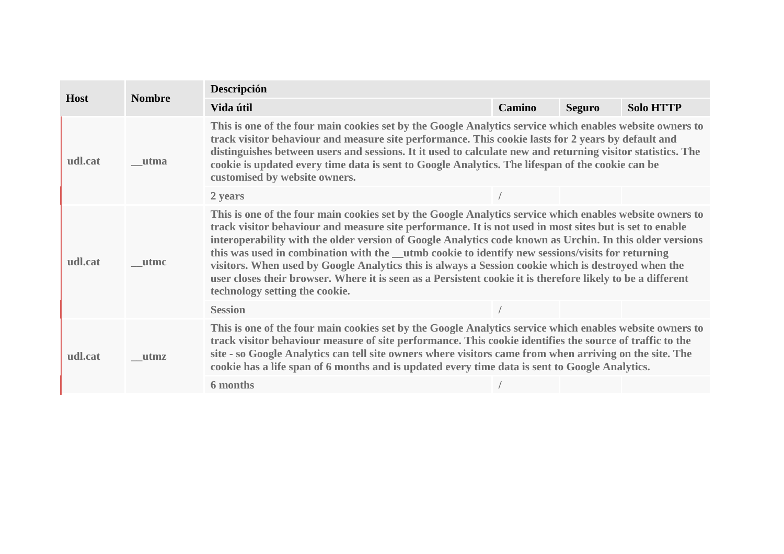| <b>Host</b> |               | Descripción                                                                                                                                                                                                                                                                                                                                                                                                                                                                                                                                                                                                                                                                                 |        |               |                  |  |  |
|-------------|---------------|---------------------------------------------------------------------------------------------------------------------------------------------------------------------------------------------------------------------------------------------------------------------------------------------------------------------------------------------------------------------------------------------------------------------------------------------------------------------------------------------------------------------------------------------------------------------------------------------------------------------------------------------------------------------------------------------|--------|---------------|------------------|--|--|
|             | <b>Nombre</b> | Vida útil                                                                                                                                                                                                                                                                                                                                                                                                                                                                                                                                                                                                                                                                                   | Camino | <b>Seguro</b> | <b>Solo HTTP</b> |  |  |
| udl.cat     | utma          | This is one of the four main cookies set by the Google Analytics service which enables website owners to<br>track visitor behaviour and measure site performance. This cookie lasts for 2 years by default and<br>distinguishes between users and sessions. It it used to calculate new and returning visitor statistics. The<br>cookie is updated every time data is sent to Google Analytics. The lifespan of the cookie can be<br>customised by website owners.                                                                                                                                                                                                                          |        |               |                  |  |  |
|             |               | 2 years                                                                                                                                                                                                                                                                                                                                                                                                                                                                                                                                                                                                                                                                                     |        |               |                  |  |  |
| udl.cat     | <b>utmc</b>   | This is one of the four main cookies set by the Google Analytics service which enables website owners to<br>track visitor behaviour and measure site performance. It is not used in most sites but is set to enable<br>interoperability with the older version of Google Analytics code known as Urchin. In this older versions<br>this was used in combination with the _utmb cookie to identify new sessions/visits for returning<br>visitors. When used by Google Analytics this is always a Session cookie which is destroyed when the<br>user closes their browser. Where it is seen as a Persistent cookie it is therefore likely to be a different<br>technology setting the cookie. |        |               |                  |  |  |
|             |               | <b>Session</b>                                                                                                                                                                                                                                                                                                                                                                                                                                                                                                                                                                                                                                                                              |        |               |                  |  |  |
| udl.cat     | <i>utmz</i>   | This is one of the four main cookies set by the Google Analytics service which enables website owners to<br>track visitor behaviour measure of site performance. This cookie identifies the source of traffic to the<br>site - so Google Analytics can tell site owners where visitors came from when arriving on the site. The<br>cookie has a life span of 6 months and is updated every time data is sent to Google Analytics.                                                                                                                                                                                                                                                           |        |               |                  |  |  |
|             |               | 6 months                                                                                                                                                                                                                                                                                                                                                                                                                                                                                                                                                                                                                                                                                    |        |               |                  |  |  |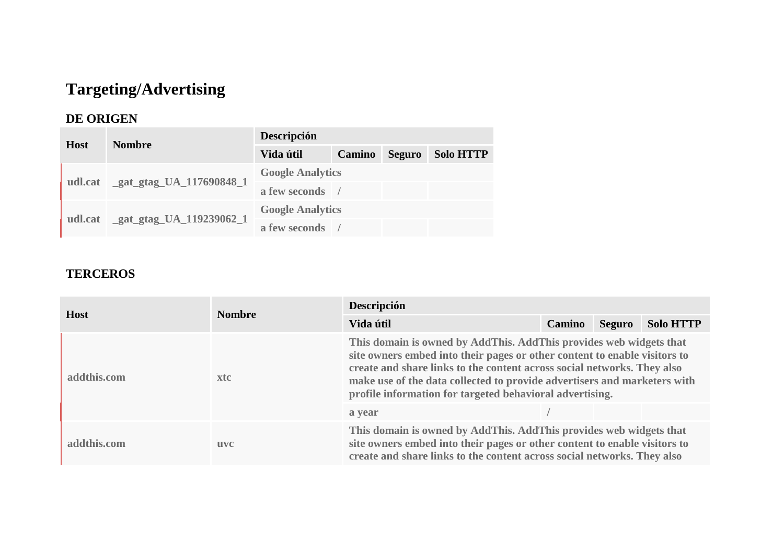# **Targeting/Advertising**

### **DE ORIGEN**

| <b>Host</b> | <b>Nombre</b>           | Descripción             |            |               |                  |  |  |
|-------------|-------------------------|-------------------------|------------|---------------|------------------|--|--|
|             |                         | Vida útil               | Camino     | <b>Seguro</b> | <b>Solo HTTP</b> |  |  |
|             | gat_gtag_UA_117690848_1 | <b>Google Analytics</b> |            |               |                  |  |  |
| udl.cat     |                         | a few seconds           | $\sqrt{ }$ |               |                  |  |  |
| udl.cat     | gat_gtag_UA_119239062_1 | <b>Google Analytics</b> |            |               |                  |  |  |
|             |                         | a few seconds           |            |               |                  |  |  |

### **TERCEROS**

|             | <b>Nombre</b> | Descripción                                                                                                                                                                                                                                                                                                                                                        |               |               |                  |  |  |
|-------------|---------------|--------------------------------------------------------------------------------------------------------------------------------------------------------------------------------------------------------------------------------------------------------------------------------------------------------------------------------------------------------------------|---------------|---------------|------------------|--|--|
| <b>Host</b> |               | Vida útil                                                                                                                                                                                                                                                                                                                                                          | <b>Camino</b> | <b>Seguro</b> | <b>Solo HTTP</b> |  |  |
| addthis.com | xtc           | This domain is owned by AddThis. AddThis provides web widgets that<br>site owners embed into their pages or other content to enable visitors to<br>create and share links to the content across social networks. They also<br>make use of the data collected to provide advertisers and marketers with<br>profile information for targeted behavioral advertising. |               |               |                  |  |  |
|             |               | a year                                                                                                                                                                                                                                                                                                                                                             |               |               |                  |  |  |
| addthis.com | <b>uvc</b>    | This domain is owned by AddThis. AddThis provides web widgets that<br>site owners embed into their pages or other content to enable visitors to<br>create and share links to the content across social networks. They also                                                                                                                                         |               |               |                  |  |  |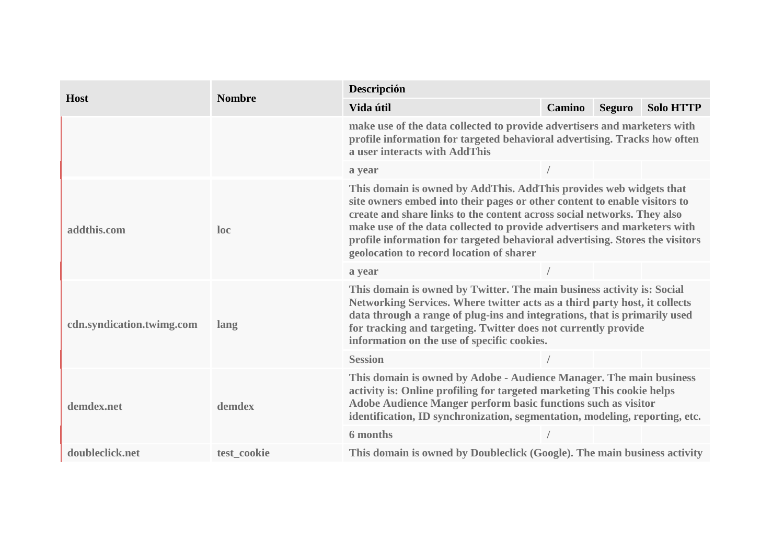|                           | <b>Nombre</b> | Descripción                                                                                                                                                                                                                                                                                                                                                                                                                        |        |               |                  |  |  |
|---------------------------|---------------|------------------------------------------------------------------------------------------------------------------------------------------------------------------------------------------------------------------------------------------------------------------------------------------------------------------------------------------------------------------------------------------------------------------------------------|--------|---------------|------------------|--|--|
| <b>Host</b>               |               | Vida útil                                                                                                                                                                                                                                                                                                                                                                                                                          | Camino | <b>Seguro</b> | <b>Solo HTTP</b> |  |  |
|                           |               | make use of the data collected to provide advertisers and marketers with<br>profile information for targeted behavioral advertising. Tracks how often<br>a user interacts with AddThis                                                                                                                                                                                                                                             |        |               |                  |  |  |
|                           |               | a year                                                                                                                                                                                                                                                                                                                                                                                                                             |        |               |                  |  |  |
| addthis.com               | loc           | This domain is owned by AddThis. AddThis provides web widgets that<br>site owners embed into their pages or other content to enable visitors to<br>create and share links to the content across social networks. They also<br>make use of the data collected to provide advertisers and marketers with<br>profile information for targeted behavioral advertising. Stores the visitors<br>geolocation to record location of sharer |        |               |                  |  |  |
|                           |               | a year                                                                                                                                                                                                                                                                                                                                                                                                                             |        |               |                  |  |  |
| cdn.syndication.twimg.com | lang          | This domain is owned by Twitter. The main business activity is: Social<br>Networking Services. Where twitter acts as a third party host, it collects<br>data through a range of plug-ins and integrations, that is primarily used<br>for tracking and targeting. Twitter does not currently provide<br>information on the use of specific cookies.                                                                                 |        |               |                  |  |  |
| demdex.net                |               | <b>Session</b>                                                                                                                                                                                                                                                                                                                                                                                                                     |        |               |                  |  |  |
|                           | demdex        | This domain is owned by Adobe - Audience Manager. The main business<br>activity is: Online profiling for targeted marketing This cookie helps<br>Adobe Audience Manger perform basic functions such as visitor<br>identification, ID synchronization, segmentation, modeling, reporting, etc.<br>6 months                                                                                                                          |        |               |                  |  |  |
| doubleclick.net           | test cookie   | This domain is owned by Doubleclick (Google). The main business activity                                                                                                                                                                                                                                                                                                                                                           |        |               |                  |  |  |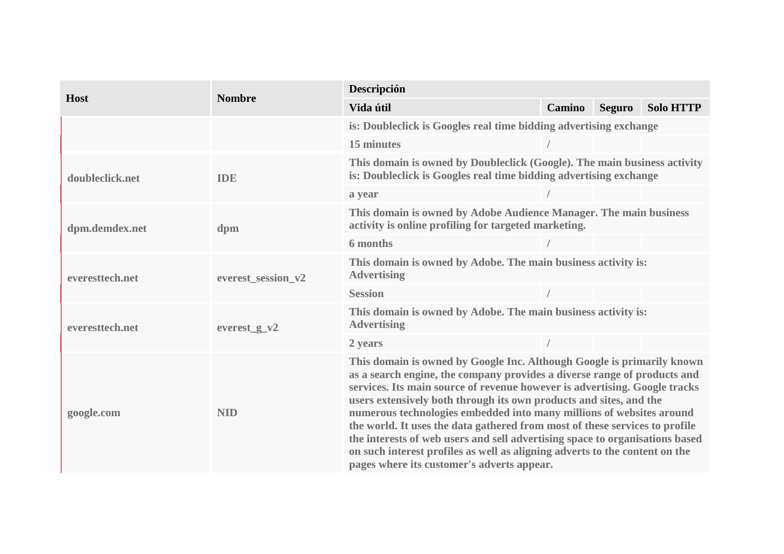|                 | <b>Nombre</b>      | Descripción                                                                                                                                                                                                                                                                                                                                                                                                                                                                                                                                                                                                                                                                |        |               |                  |  |  |
|-----------------|--------------------|----------------------------------------------------------------------------------------------------------------------------------------------------------------------------------------------------------------------------------------------------------------------------------------------------------------------------------------------------------------------------------------------------------------------------------------------------------------------------------------------------------------------------------------------------------------------------------------------------------------------------------------------------------------------------|--------|---------------|------------------|--|--|
| <b>Host</b>     |                    | Vida útil                                                                                                                                                                                                                                                                                                                                                                                                                                                                                                                                                                                                                                                                  | Camino | <b>Seguro</b> | <b>Solo HTTP</b> |  |  |
|                 |                    | is: Doubleclick is Googles real time bidding advertising exchange                                                                                                                                                                                                                                                                                                                                                                                                                                                                                                                                                                                                          |        |               |                  |  |  |
|                 |                    | 15 minutes                                                                                                                                                                                                                                                                                                                                                                                                                                                                                                                                                                                                                                                                 |        |               |                  |  |  |
| doubleclick.net | <b>IDE</b>         | This domain is owned by Doubleclick (Google). The main business activity<br>is: Doubleclick is Googles real time bidding advertising exchange                                                                                                                                                                                                                                                                                                                                                                                                                                                                                                                              |        |               |                  |  |  |
|                 |                    | a year                                                                                                                                                                                                                                                                                                                                                                                                                                                                                                                                                                                                                                                                     |        |               |                  |  |  |
| dpm.demdex.net  | dpm                | This domain is owned by Adobe Audience Manager. The main business<br>activity is online profiling for targeted marketing.                                                                                                                                                                                                                                                                                                                                                                                                                                                                                                                                                  |        |               |                  |  |  |
|                 |                    | 6 months                                                                                                                                                                                                                                                                                                                                                                                                                                                                                                                                                                                                                                                                   |        |               |                  |  |  |
| everesttech.net | everest_session_v2 | This domain is owned by Adobe. The main business activity is:<br><b>Advertising</b>                                                                                                                                                                                                                                                                                                                                                                                                                                                                                                                                                                                        |        |               |                  |  |  |
|                 |                    | <b>Session</b>                                                                                                                                                                                                                                                                                                                                                                                                                                                                                                                                                                                                                                                             |        |               |                  |  |  |
| everesttech.net | everest $g_v$      | This domain is owned by Adobe. The main business activity is:<br><b>Advertising</b>                                                                                                                                                                                                                                                                                                                                                                                                                                                                                                                                                                                        |        |               |                  |  |  |
|                 |                    | 2 years                                                                                                                                                                                                                                                                                                                                                                                                                                                                                                                                                                                                                                                                    |        |               |                  |  |  |
| google.com      | <b>NID</b>         | This domain is owned by Google Inc. Although Google is primarily known<br>as a search engine, the company provides a diverse range of products and<br>services. Its main source of revenue however is advertising. Google tracks<br>users extensively both through its own products and sites, and the<br>numerous technologies embedded into many millions of websites around<br>the world. It uses the data gathered from most of these services to profile<br>the interests of web users and sell advertising space to organisations based<br>on such interest profiles as well as aligning adverts to the content on the<br>pages where its customer's adverts appear. |        |               |                  |  |  |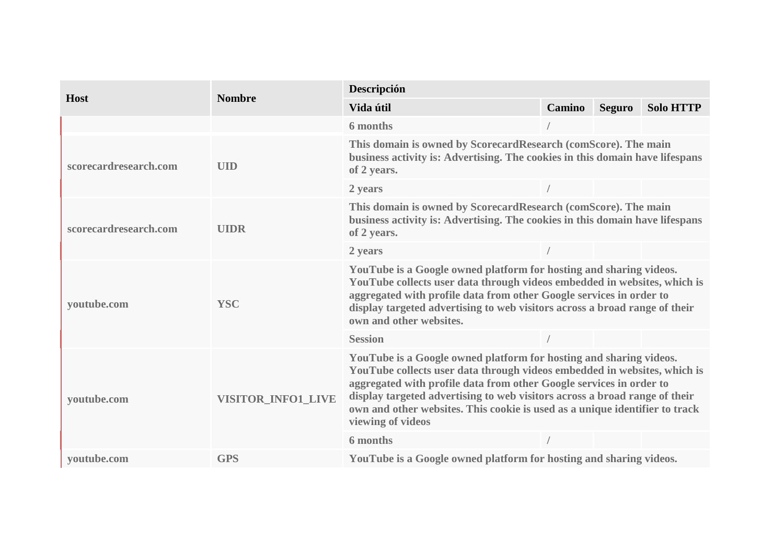| <b>Host</b>           | <b>Nombre</b>             | Descripción                                                                                                                                                                                                                                                                                                                                                                                                         |        |               |                  |  |  |
|-----------------------|---------------------------|---------------------------------------------------------------------------------------------------------------------------------------------------------------------------------------------------------------------------------------------------------------------------------------------------------------------------------------------------------------------------------------------------------------------|--------|---------------|------------------|--|--|
|                       |                           | Vida útil                                                                                                                                                                                                                                                                                                                                                                                                           | Camino | <b>Seguro</b> | <b>Solo HTTP</b> |  |  |
|                       |                           | 6 months                                                                                                                                                                                                                                                                                                                                                                                                            |        |               |                  |  |  |
| scorecardresearch.com | <b>UID</b>                | This domain is owned by ScorecardResearch (comScore). The main<br>business activity is: Advertising. The cookies in this domain have lifespans<br>of 2 years.                                                                                                                                                                                                                                                       |        |               |                  |  |  |
|                       |                           | 2 years                                                                                                                                                                                                                                                                                                                                                                                                             |        |               |                  |  |  |
| scorecardresearch.com | <b>UIDR</b>               | This domain is owned by ScorecardResearch (comScore). The main<br>business activity is: Advertising. The cookies in this domain have lifespans<br>of 2 years.                                                                                                                                                                                                                                                       |        |               |                  |  |  |
|                       |                           | 2 years                                                                                                                                                                                                                                                                                                                                                                                                             |        |               |                  |  |  |
| voutube.com           | <b>YSC</b>                | YouTube is a Google owned platform for hosting and sharing videos.<br>YouTube collects user data through videos embedded in websites, which is<br>aggregated with profile data from other Google services in order to<br>display targeted advertising to web visitors across a broad range of their<br>own and other websites.                                                                                      |        |               |                  |  |  |
|                       |                           | <b>Session</b>                                                                                                                                                                                                                                                                                                                                                                                                      |        |               |                  |  |  |
| youtube.com           | <b>VISITOR INFO1 LIVE</b> | YouTube is a Google owned platform for hosting and sharing videos.<br>YouTube collects user data through videos embedded in websites, which is<br>aggregated with profile data from other Google services in order to<br>display targeted advertising to web visitors across a broad range of their<br>own and other websites. This cookie is used as a unique identifier to track<br>viewing of videos<br>6 months |        |               |                  |  |  |
|                       |                           |                                                                                                                                                                                                                                                                                                                                                                                                                     |        |               |                  |  |  |
| voutube.com           | <b>GPS</b>                | YouTube is a Google owned platform for hosting and sharing videos.                                                                                                                                                                                                                                                                                                                                                  |        |               |                  |  |  |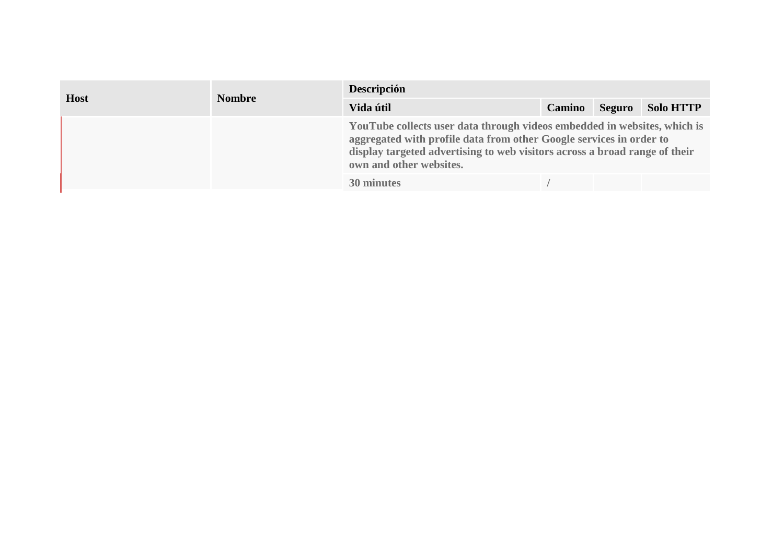| <b>Host</b> | <b>Nombre</b> | Descripción                                                                                                                                                                                                                                                            |               |               |                  |  |  |
|-------------|---------------|------------------------------------------------------------------------------------------------------------------------------------------------------------------------------------------------------------------------------------------------------------------------|---------------|---------------|------------------|--|--|
|             |               | Vida útil                                                                                                                                                                                                                                                              | <b>Camino</b> | <b>Seguro</b> | <b>Solo HTTP</b> |  |  |
|             |               | YouTube collects user data through videos embedded in websites, which is<br>aggregated with profile data from other Google services in order to<br>display targeted advertising to web visitors across a broad range of their<br>own and other websites.<br>30 minutes |               |               |                  |  |  |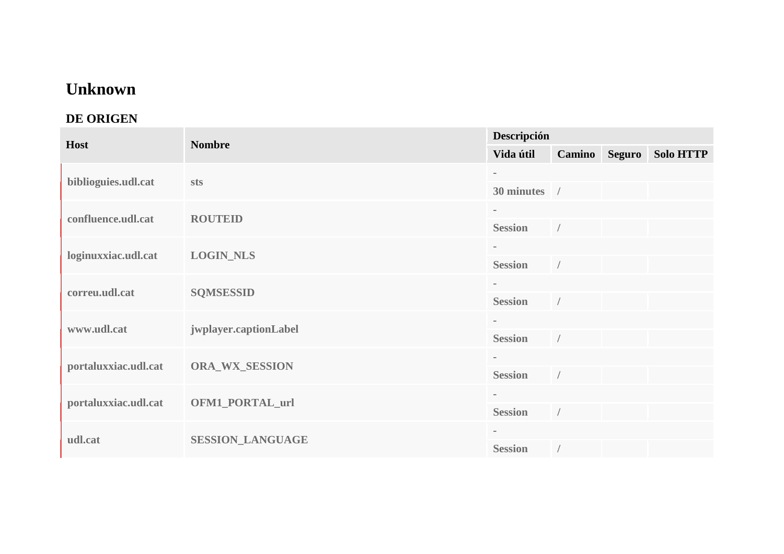## **Unknown**

## **DE ORIGEN**

| Host                 | <b>Nombre</b>           | Descripción    |            |               |                  |  |  |
|----------------------|-------------------------|----------------|------------|---------------|------------------|--|--|
|                      |                         | Vida útil      |            | Camino Seguro | <b>Solo HTTP</b> |  |  |
| biblioguies.udl.cat  | sts                     | $\blacksquare$ |            |               |                  |  |  |
|                      |                         | 30 minutes /   |            |               |                  |  |  |
| confluence.udl.cat   | <b>ROUTEID</b>          |                |            |               |                  |  |  |
|                      |                         | <b>Session</b> | $\sqrt{2}$ |               |                  |  |  |
| loginuxxiac.udl.cat  | <b>LOGIN_NLS</b>        | $\sim$         |            |               |                  |  |  |
|                      |                         | <b>Session</b> | $\sqrt{2}$ |               |                  |  |  |
| correu.udl.cat       | <b>SQMSESSID</b>        | $\blacksquare$ |            |               |                  |  |  |
|                      |                         | <b>Session</b> |            |               |                  |  |  |
| www.udl.cat          | jwplayer.captionLabel   | $\sim$         |            |               |                  |  |  |
|                      |                         | <b>Session</b> | $\sqrt{2}$ |               |                  |  |  |
| portaluxxiac.udl.cat | <b>ORA_WX_SESSION</b>   | $\equiv$       |            |               |                  |  |  |
|                      |                         | <b>Session</b> | $\sqrt{2}$ |               |                  |  |  |
| portaluxxiac.udl.cat | <b>OFM1_PORTAL_url</b>  | $\sim$         |            |               |                  |  |  |
|                      |                         | <b>Session</b> | $\sqrt{2}$ |               |                  |  |  |
| udl.cat              | <b>SESSION_LANGUAGE</b> | $\blacksquare$ |            |               |                  |  |  |
|                      |                         | <b>Session</b> |            |               |                  |  |  |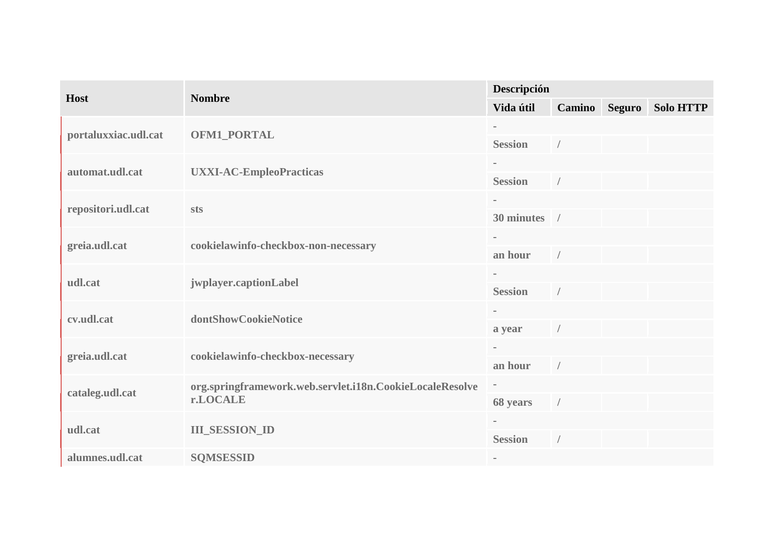|                      | <b>Nombre</b>                                            | Descripción    |               |        |                  |  |
|----------------------|----------------------------------------------------------|----------------|---------------|--------|------------------|--|
| <b>Host</b>          |                                                          | Vida útil      | <b>Camino</b> | Seguro | <b>Solo HTTP</b> |  |
| portaluxxiac.udl.cat | <b>OFM1_PORTAL</b>                                       | $\sim$         |               |        |                  |  |
|                      |                                                          | <b>Session</b> |               |        |                  |  |
| automat.udl.cat      | <b>UXXI-AC-EmpleoPracticas</b>                           | $\sim$         |               |        |                  |  |
|                      |                                                          | <b>Session</b> |               |        |                  |  |
| repositori.udl.cat   | sts                                                      | $\sim$         |               |        |                  |  |
|                      |                                                          | 30 minutes /   |               |        |                  |  |
| greia.udl.cat        | cookielawinfo-checkbox-non-necessary                     | $\equiv$       |               |        |                  |  |
|                      |                                                          | an hour        | $\sqrt{2}$    |        |                  |  |
| udl.cat              | jwplayer.captionLabel                                    |                |               |        |                  |  |
|                      |                                                          | <b>Session</b> |               |        |                  |  |
| cv.udl.cat           | dontShowCookieNotice                                     | $\sim$         |               |        |                  |  |
|                      |                                                          | a year         |               |        |                  |  |
| greia.udl.cat        | cookielawinfo-checkbox-necessary                         | $\sim$         |               |        |                  |  |
|                      |                                                          | an hour        | $\sqrt{2}$    |        |                  |  |
| cataleg.udl.cat      | org.springframework.web.servlet.i18n.CookieLocaleResolve | ۳              |               |        |                  |  |
|                      | r.LOCALE                                                 | 68 years       | $\sqrt{ }$    |        |                  |  |
| udl.cat              | <b>III_SESSION_ID</b>                                    | $\sim$         |               |        |                  |  |
|                      |                                                          | <b>Session</b> | $\sqrt{2}$    |        |                  |  |
| alumnes.udl.cat      | <b>SQMSESSID</b>                                         | $\sim$         |               |        |                  |  |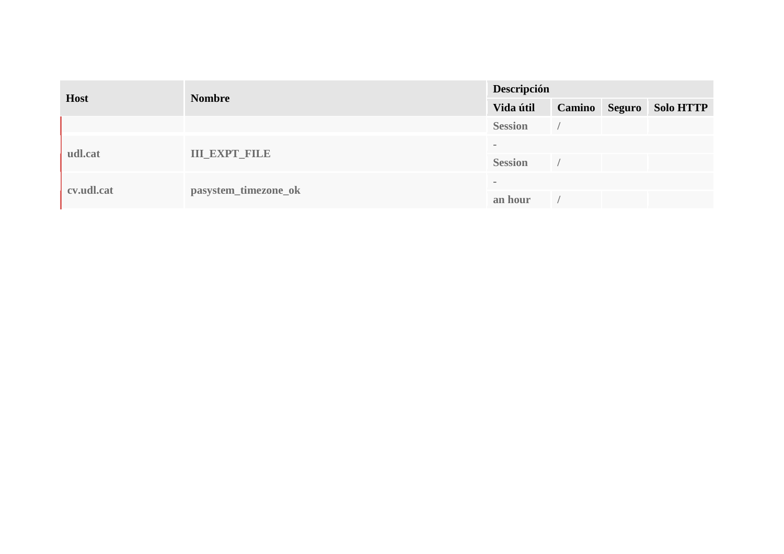| <b>Host</b> |                      | Descripción    |               |        |                  |  |
|-------------|----------------------|----------------|---------------|--------|------------------|--|
|             | <b>Nombre</b>        | Vida útil      | <b>Camino</b> | Seguro | <b>Solo HTTP</b> |  |
|             |                      | <b>Session</b> |               |        |                  |  |
| udl.cat     | <b>III_EXPT_FILE</b> | $\sim$         |               |        |                  |  |
|             |                      | <b>Session</b> |               |        |                  |  |
| cv.udl.cat  |                      | $\sim$         |               |        |                  |  |
|             | pasystem_timezone_ok | an hour        |               |        |                  |  |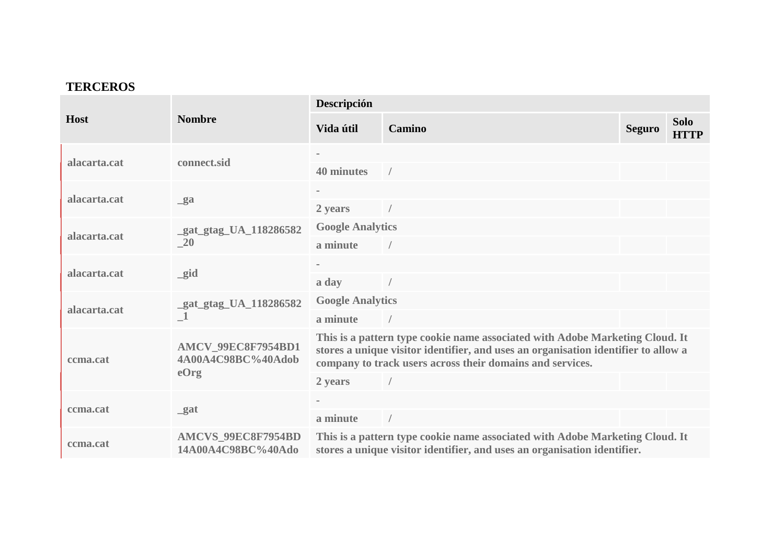#### **TERCEROS**

| <b>Host</b>  | <b>Nombre</b>                                    | Descripción                                                                                                                                                                                                                     |        |               |                            |  |  |
|--------------|--------------------------------------------------|---------------------------------------------------------------------------------------------------------------------------------------------------------------------------------------------------------------------------------|--------|---------------|----------------------------|--|--|
|              |                                                  | Vida útil                                                                                                                                                                                                                       | Camino | <b>Seguro</b> | <b>Solo</b><br><b>HTTP</b> |  |  |
| alacarta.cat | connect.sid                                      |                                                                                                                                                                                                                                 |        |               |                            |  |  |
|              |                                                  | 40 minutes                                                                                                                                                                                                                      |        |               |                            |  |  |
| alacarta.cat | $g$ a                                            |                                                                                                                                                                                                                                 |        |               |                            |  |  |
|              |                                                  | 2 years                                                                                                                                                                                                                         |        |               |                            |  |  |
| alacarta.cat | gat_gtag_UA_118286582<br>$\sqrt{20}$             | <b>Google Analytics</b>                                                                                                                                                                                                         |        |               |                            |  |  |
|              |                                                  | a minute                                                                                                                                                                                                                        |        |               |                            |  |  |
| alacarta.cat | $\_gid$                                          |                                                                                                                                                                                                                                 |        |               |                            |  |  |
|              |                                                  | a day                                                                                                                                                                                                                           |        |               |                            |  |  |
| alacarta.cat | gat_gtag_UA_118286582                            | <b>Google Analytics</b>                                                                                                                                                                                                         |        |               |                            |  |  |
|              |                                                  | a minute                                                                                                                                                                                                                        |        |               |                            |  |  |
| ccma.cat     | AMCV_99EC8F7954BD1<br>4A00A4C98BC%40Adob<br>eOrg | This is a pattern type cookie name associated with Adobe Marketing Cloud. It<br>stores a unique visitor identifier, and uses an organisation identifier to allow a<br>company to track users across their domains and services. |        |               |                            |  |  |
|              |                                                  | 2 years                                                                                                                                                                                                                         |        |               |                            |  |  |
| ccma.cat     | gat                                              |                                                                                                                                                                                                                                 |        |               |                            |  |  |
|              |                                                  | a minute                                                                                                                                                                                                                        |        |               |                            |  |  |
| ccma.cat     | AMCVS_99EC8F7954BD<br>14A00A4C98BC%40Ado         | This is a pattern type cookie name associated with Adobe Marketing Cloud. It<br>stores a unique visitor identifier, and uses an organisation identifier.                                                                        |        |               |                            |  |  |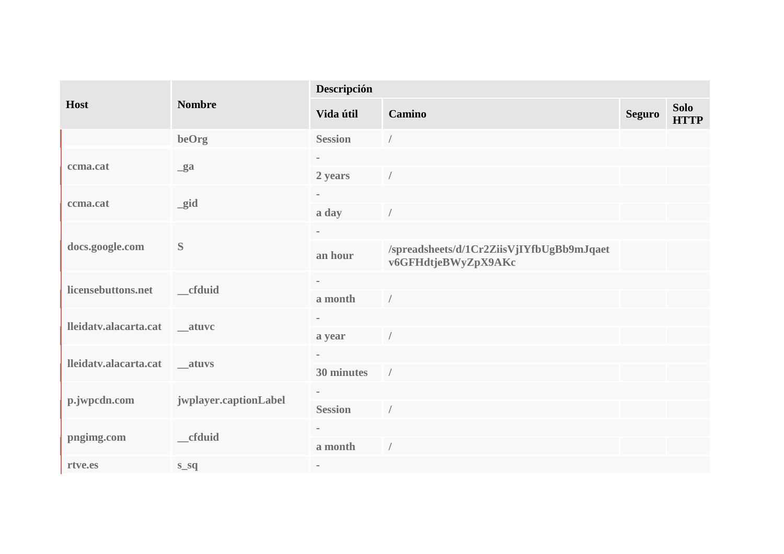| Host                          | <b>Nombre</b>         | Descripción    |                                                                  |               |                            |  |  |
|-------------------------------|-----------------------|----------------|------------------------------------------------------------------|---------------|----------------------------|--|--|
|                               |                       | Vida útil      | Camino                                                           | <b>Seguro</b> | <b>Solo</b><br><b>HTTP</b> |  |  |
|                               | beOrg                 | <b>Session</b> | $\sqrt{2}$                                                       |               |                            |  |  |
| ccma.cat                      | $g$ a                 |                |                                                                  |               |                            |  |  |
|                               |                       | 2 years        | $\sqrt{2}$                                                       |               |                            |  |  |
| ccma.cat                      | $\_gid$               | $\blacksquare$ |                                                                  |               |                            |  |  |
|                               |                       | a day          |                                                                  |               |                            |  |  |
|                               | S                     | $\sim$         |                                                                  |               |                            |  |  |
| docs.google.com               |                       | an hour        | /spreadsheets/d/1Cr2ZiisVjIYfbUgBb9mJqaet<br>v6GFHdtjeBWyZpX9AKc |               |                            |  |  |
| licensebuttons.net            | cfduid                | $\sim$         |                                                                  |               |                            |  |  |
|                               |                       | a month        | $\sqrt{ }$                                                       |               |                            |  |  |
| lleidatv.alacarta.cat __atuvc |                       | $\sim$         |                                                                  |               |                            |  |  |
|                               |                       | a year         |                                                                  |               |                            |  |  |
| lleidatv.alacarta.cat __atuvs |                       | $\sim$         |                                                                  |               |                            |  |  |
|                               |                       | 30 minutes     | $\sqrt{ }$                                                       |               |                            |  |  |
| p.jwpcdn.com                  | jwplayer.captionLabel |                |                                                                  |               |                            |  |  |
|                               |                       | <b>Session</b> |                                                                  |               |                            |  |  |
| pngimg.com                    | _cfduid               | $\equiv$       |                                                                  |               |                            |  |  |
|                               |                       | a month        | $\sqrt{ }$                                                       |               |                            |  |  |
| rtve.es                       | $S_Sq$                | $\equiv$       |                                                                  |               |                            |  |  |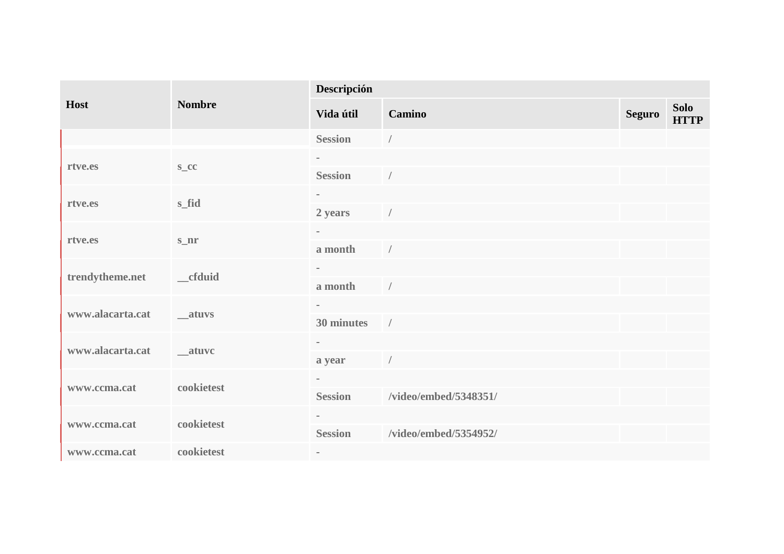| Host             | <b>Nombre</b>  | Descripción       |                       |               |                            |  |  |
|------------------|----------------|-------------------|-----------------------|---------------|----------------------------|--|--|
|                  |                | Vida útil         | Camino                | <b>Seguro</b> | <b>Solo</b><br><b>HTTP</b> |  |  |
|                  |                | <b>Session</b>    | $\sqrt{ }$            |               |                            |  |  |
| rtve.es          | $S_{\text{C}}$ | $\blacksquare$    |                       |               |                            |  |  |
|                  |                | <b>Session</b>    |                       |               |                            |  |  |
| rtve.es          | s_fid          | $\sim$<br>2 years | $\sqrt{ }$            |               |                            |  |  |
|                  | $S_nr$         | $\sim$            |                       |               |                            |  |  |
| rtve.es          |                | a month           | $\sqrt{ }$            |               |                            |  |  |
|                  | __cfduid       |                   |                       |               |                            |  |  |
| trendytheme.net  |                | a month           | $\sqrt{ }$            |               |                            |  |  |
| www.alacarta.cat | __atuvs        | $\sim$            |                       |               |                            |  |  |
|                  |                | 30 minutes        | $\sqrt{ }$            |               |                            |  |  |
| www.alacarta.cat | __atuvc        | $\blacksquare$    |                       |               |                            |  |  |
|                  |                | a year            |                       |               |                            |  |  |
| www.ccma.cat     | cookietest     | $\sim$            |                       |               |                            |  |  |
|                  |                | <b>Session</b>    | /video/embed/5348351/ |               |                            |  |  |
| www.ccma.cat     | cookietest     | $\equiv$          |                       |               |                            |  |  |
|                  |                | <b>Session</b>    | /video/embed/5354952/ |               |                            |  |  |
| www.ccma.cat     | cookietest     | $\sim$            |                       |               |                            |  |  |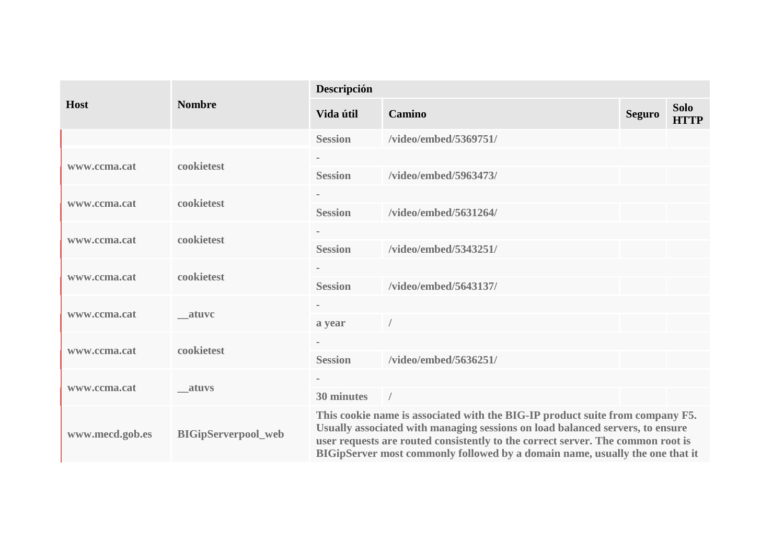| <b>Host</b>     | <b>Nombre</b>              | Descripción                                                                                                                                                                                                                                                                                                                       |                       |               |                            |  |
|-----------------|----------------------------|-----------------------------------------------------------------------------------------------------------------------------------------------------------------------------------------------------------------------------------------------------------------------------------------------------------------------------------|-----------------------|---------------|----------------------------|--|
|                 |                            | Vida útil                                                                                                                                                                                                                                                                                                                         | Camino                | <b>Seguro</b> | <b>Solo</b><br><b>HTTP</b> |  |
|                 |                            | <b>Session</b>                                                                                                                                                                                                                                                                                                                    | /video/embed/5369751/ |               |                            |  |
|                 | cookietest                 |                                                                                                                                                                                                                                                                                                                                   |                       |               |                            |  |
| www.ccma.cat    |                            | <b>Session</b>                                                                                                                                                                                                                                                                                                                    | /video/embed/5963473/ |               |                            |  |
| www.ccma.cat    | cookietest                 |                                                                                                                                                                                                                                                                                                                                   |                       |               |                            |  |
|                 |                            | <b>Session</b>                                                                                                                                                                                                                                                                                                                    | /video/embed/5631264/ |               |                            |  |
| www.ccma.cat    | cookietest                 |                                                                                                                                                                                                                                                                                                                                   |                       |               |                            |  |
|                 |                            | <b>Session</b>                                                                                                                                                                                                                                                                                                                    | /video/embed/5343251/ |               |                            |  |
| www.ccma.cat    | cookietest                 |                                                                                                                                                                                                                                                                                                                                   |                       |               |                            |  |
|                 |                            | <b>Session</b>                                                                                                                                                                                                                                                                                                                    | /video/embed/5643137/ |               |                            |  |
| www.ccma.cat    | atuvc                      |                                                                                                                                                                                                                                                                                                                                   |                       |               |                            |  |
|                 |                            | a year                                                                                                                                                                                                                                                                                                                            |                       |               |                            |  |
|                 | cookietest                 |                                                                                                                                                                                                                                                                                                                                   |                       |               |                            |  |
| www.ccma.cat    |                            | <b>Session</b>                                                                                                                                                                                                                                                                                                                    | /video/embed/5636251/ |               |                            |  |
| www.ccma.cat    | atuvs                      | $\equiv$                                                                                                                                                                                                                                                                                                                          |                       |               |                            |  |
|                 |                            | 30 minutes                                                                                                                                                                                                                                                                                                                        | $\sqrt{ }$            |               |                            |  |
| www.mecd.gob.es | <b>BIGipServerpool_web</b> | This cookie name is associated with the BIG-IP product suite from company F5.<br>Usually associated with managing sessions on load balanced servers, to ensure<br>user requests are routed consistently to the correct server. The common root is<br>BIGipServer most commonly followed by a domain name, usually the one that it |                       |               |                            |  |